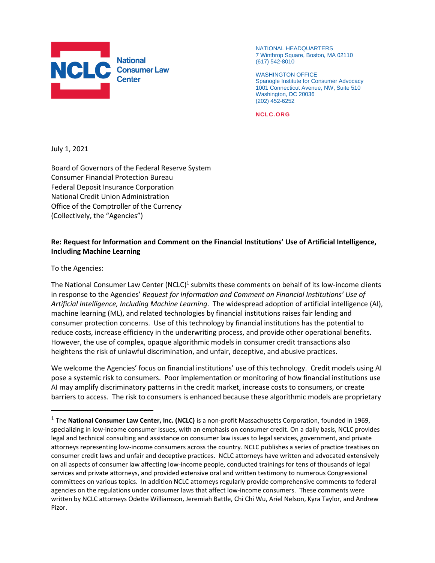

NATIONAL HEADQUARTERS 7 Winthrop Square, Boston, MA 02110 (617) 542-8010

WASHINGTON OFFICE Spanogle Institute for Consumer Advocacy 1001 Connecticut Avenue, NW, Suite 510 Washington, DC 20036 (202) 452-6252

**NCLC.ORG**

July 1, 2021

Board of Governors of the Federal Reserve System Consumer Financial Protection Bureau Federal Deposit Insurance Corporation National Credit Union Administration Office of the Comptroller of the Currency (Collectively, the "Agencies")

#### **Re: Request for Information and Comment on the Financial Institutions' Use of Artificial Intelligence, Including Machine Learning**

To the Agencies:

 $\overline{a}$ 

The National Consumer Law Center (NCLC)<sup>1</sup> submits these comments on behalf of its low-income clients in response to the Agencies' *Request for Information and Comment on Financial Institutions' Use of Artificial Intelligence, Including Machine Learning*. The widespread adoption of artificial intelligence (AI), machine learning (ML), and related technologies by financial institutions raises fair lending and consumer protection concerns. Use of this technology by financial institutions has the potential to reduce costs, increase efficiency in the underwriting process, and provide other operational benefits. However, the use of complex, opaque algorithmic models in consumer credit transactions also heightens the risk of unlawful discrimination, and unfair, deceptive, and abusive practices.

We welcome the Agencies' focus on financial institutions' use of this technology. Credit models using AI pose a systemic risk to consumers. Poor implementation or monitoring of how financial institutions use AI may amplify discriminatory patterns in the credit market, increase costs to consumers, or create barriers to access. The risk to consumers is enhanced because these algorithmic models are proprietary

<sup>1</sup> The **National Consumer Law Center, Inc. (NCLC)** is a non-profit Massachusetts Corporation, founded in 1969, specializing in low-income consumer issues, with an emphasis on consumer credit. On a daily basis, NCLC provides legal and technical consulting and assistance on consumer law issues to legal services, government, and private attorneys representing low-income consumers across the country. NCLC publishes a series of practice treatises on consumer credit laws and unfair and deceptive practices. NCLC attorneys have written and advocated extensively on all aspects of consumer law affecting low-income people, conducted trainings for tens of thousands of legal services and private attorneys, and provided extensive oral and written testimony to numerous Congressional committees on various topics. In addition NCLC attorneys regularly provide comprehensive comments to federal agencies on the regulations under consumer laws that affect low-income consumers. These comments were written by NCLC attorneys Odette Williamson, Jeremiah Battle, Chi Chi Wu, Ariel Nelson, Kyra Taylor, and Andrew Pizor.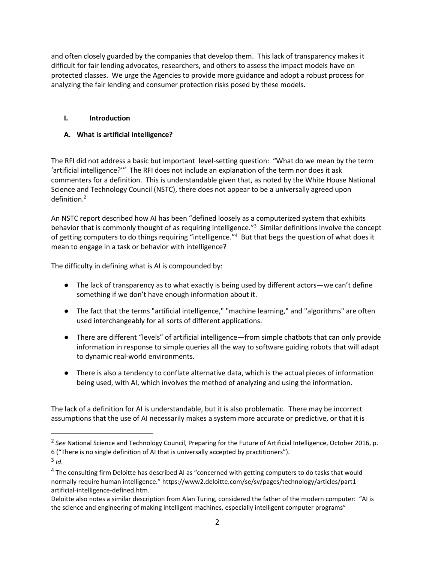and often closely guarded by the companies that develop them. This lack of transparency makes it difficult for fair lending advocates, researchers, and others to assess the impact models have on protected classes. We urge the Agencies to provide more guidance and adopt a robust process for analyzing the fair lending and consumer protection risks posed by these models.

## **I. Introduction**

# **A. What is artificial intelligence?**

The RFI did not address a basic but important level-setting question: "What do we mean by the term 'artificial intelligence?'" The RFI does not include an explanation of the term nor does it ask commenters for a definition. This is understandable given that, as noted by the White House National Science and Technology Council (NSTC), there does not appear to be a universally agreed upon definition.<sup>2</sup>

An NSTC report described how AI has been "defined loosely as a computerized system that exhibits behavior that is commonly thought of as requiring intelligence."<sup>3</sup> Similar definitions involve the concept of getting computers to do things requiring "intelligence."<sup>4</sup> But that begs the question of what does it mean to engage in a task or behavior with intelligence?

The difficulty in defining what is AI is compounded by:

- The lack of transparency as to what exactly is being used by different actors—we can't define something if we don't have enough information about it.
- The fact that the terms "artificial intelligence," "machine learning," and "algorithms" are often used interchangeably for all sorts of different applications.
- There are different "levels" of artificial intelligence—from simple chatbots that can only provide information in response to simple queries all the way to software guiding robots that will adapt to dynamic real-world environments.
- There is also a tendency to conflate alternative data, which is the actual pieces of information being used, with AI, which involves the method of analyzing and using the information.

The lack of a definition for AI is understandable, but it is also problematic. There may be incorrect assumptions that the use of AI necessarily makes a system more accurate or predictive, or that it is

<sup>2</sup> *See* National Science and Technology Council, Preparing for the Future of Artificial Intelligence, October 2016, p. 6 ("There is no single definition of AI that is universally accepted by practitioners").

<sup>3</sup> *Id.*

<sup>&</sup>lt;sup>4</sup> The consulting firm Deloitte has described AI as "concerned with getting computers to do tasks that would normally require human intelligence." https://www2.deloitte.com/se/sv/pages/technology/articles/part1 artificial-intelligence-defined.htm.

Deloitte also notes a similar description from Alan Turing, considered the father of the modern computer: "AI is the science and engineering of making intelligent machines, especially intelligent computer programs"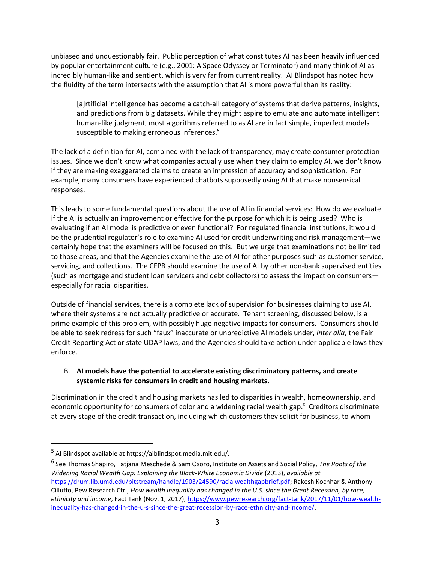unbiased and unquestionably fair. Public perception of what constitutes AI has been heavily influenced by popular entertainment culture (e.g., 2001: A Space Odyssey or Terminator) and many think of AI as incredibly human-like and sentient, which is very far from current reality. AI Blindspot has noted how the fluidity of the term intersects with the assumption that AI is more powerful than its reality:

[a]rtificial intelligence has become a catch-all category of systems that derive patterns, insights, and predictions from big datasets. While they might aspire to emulate and automate intelligent human-like judgment, most algorithms referred to as AI are in fact simple, imperfect models susceptible to making erroneous inferences.<sup>5</sup>

The lack of a definition for AI, combined with the lack of transparency, may create consumer protection issues. Since we don't know what companies actually use when they claim to employ AI, we don't know if they are making exaggerated claims to create an impression of accuracy and sophistication. For example, many consumers have experienced chatbots supposedly using AI that make nonsensical responses.

This leads to some fundamental questions about the use of AI in financial services: How do we evaluate if the AI is actually an improvement or effective for the purpose for which it is being used? Who is evaluating if an AI model is predictive or even functional? For regulated financial institutions, it would be the prudential regulator's role to examine AI used for credit underwriting and risk management—we certainly hope that the examiners will be focused on this. But we urge that examinations not be limited to those areas, and that the Agencies examine the use of AI for other purposes such as customer service, servicing, and collections. The CFPB should examine the use of AI by other non-bank supervised entities (such as mortgage and student loan servicers and debt collectors) to assess the impact on consumers especially for racial disparities.

Outside of financial services, there is a complete lack of supervision for businesses claiming to use AI, where their systems are not actually predictive or accurate. Tenant screening, discussed below, is a prime example of this problem, with possibly huge negative impacts for consumers. Consumers should be able to seek redress for such "faux" inaccurate or unpredictive AI models under, *inter alia*, the Fair Credit Reporting Act or state UDAP laws, and the Agencies should take action under applicable laws they enforce.

## B. **AI models have the potential to accelerate existing discriminatory patterns, and create systemic risks for consumers in credit and housing markets.**

Discrimination in the credit and housing markets has led to disparities in wealth, homeownership, and economic opportunity for consumers of color and a widening racial wealth gap.<sup>6</sup> Creditors discriminate at every stage of the credit transaction, including which customers they solicit for business, to whom

<sup>5</sup> AI Blindspot available at https://aiblindspot.media.mit.edu/.

<sup>6</sup> See Thomas Shapiro, Tatjana Meschede & Sam Osoro, Institute on Assets and Social Policy, *The Roots of the Widening Racial Wealth Gap: Explaining the Black-White Economic Divide* (2013), *available at* [https://drum.lib.umd.edu/bitstream/handle/1903/24590/racialwealthgapbrief.pdf;](https://drum.lib.umd.edu/bitstream/handle/1903/24590/racialwealthgapbrief.pdf) Rakesh Kochhar & Anthony Cilluffo, Pew Research Ctr., *How wealth inequality has changed in the U.S. since the Great Recession, by race, ethnicity and income*, Fact Tank (Nov. 1, 2017), [https://www.pewresearch.org/fact-tank/2017/11/01/how-wealth](https://www.pewresearch.org/fact-tank/2017/11/01/how-wealth-inequality-has-changed-in-the-u-s-since-the-great-recession-by-race-ethnicity-and-income/)[inequality-has-changed-in-the-u-s-since-the-great-recession-by-race-ethnicity-and-income/.](https://www.pewresearch.org/fact-tank/2017/11/01/how-wealth-inequality-has-changed-in-the-u-s-since-the-great-recession-by-race-ethnicity-and-income/)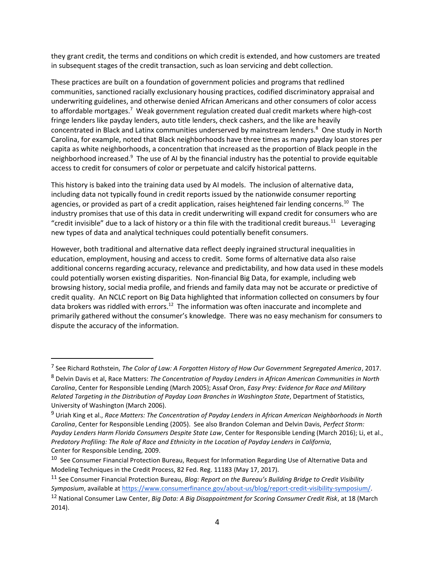they grant credit, the terms and conditions on which credit is extended, and how customers are treated in subsequent stages of the credit transaction, such as loan servicing and debt collection.

These practices are built on a foundation of government policies and programs that redlined communities, sanctioned racially exclusionary housing practices, codified discriminatory appraisal and underwriting guidelines, and otherwise denied African Americans and other consumers of color access to affordable mortgages.<sup>7</sup> Weak government regulation created dual credit markets where high-cost fringe lenders like payday lenders, auto title lenders, check cashers, and the like are heavily concentrated in Black and Latinx communities underserved by mainstream lenders.<sup>8</sup> One study in North Carolina, for example, noted that Black neighborhoods have three times as many payday loan stores per capita as white neighborhoods, a concentration that increased as the proportion of Black people in the neighborhood increased.<sup>9</sup> The use of AI by the financial industry has the potential to provide equitable access to credit for consumers of color or perpetuate and calcify historical patterns.

This history is baked into the training data used by AI models. The inclusion of alternative data, including data not typically found in credit reports issued by the nationwide consumer reporting agencies, or provided as part of a credit application, raises heightened fair lending concerns.<sup>10</sup> The industry promises that use of this data in credit underwriting will expand credit for consumers who are "credit invisible" due to a lack of history or a thin file with the traditional credit bureaus.<sup>11</sup> Leveraging new types of data and analytical techniques could potentially benefit consumers.

However, both traditional and alternative data reflect deeply ingrained structural inequalities in education, employment, housing and access to credit. Some forms of alternative data also raise additional concerns regarding accuracy, relevance and predictability, and how data used in these models could potentially worsen existing disparities. Non-financial Big Data, for example, including web browsing history, social media profile, and friends and family data may not be accurate or predictive of credit quality. An NCLC report on Big Data highlighted that information collected on consumers by four data brokers was riddled with errors.<sup>12</sup> The information was often inaccurate and incomplete and primarily gathered without the consumer's knowledge. There was no easy mechanism for consumers to dispute the accuracy of the information.

<sup>7</sup> See Richard Rothstein, *The Color of Law: A Forgotten History of How Our Government Segregated America*, 2017.

<sup>8</sup> Delvin Davis et al, Race Matters: *The Concentration of Payday Lenders in African American Communities in North Carolina*, Center for Responsible Lending (March 2005); Assaf Oron, *Easy Prey: Evidence for Race and Military Related Targeting in the Distribution of Payday Loan Branches in Washington State*, Department of Statistics, University of Washington (March 2006).

<sup>9</sup> Uriah King et al., *Race Matters: The Concentration of Payday Lenders in African American Neighborhoods in North Carolina*, Center for Responsible Lending (2005). See also Brandon Coleman and Delvin Davis, *Perfect Storm: Payday Lenders Harm Florida Consumers Despite State Law*, Center for Responsible Lending (March 2016); Li, et al., *Predatory Profiling: The Role of Race and Ethnicity in the Location of Payday Lenders in California*, Center for Responsible Lending, 2009.

<sup>&</sup>lt;sup>10</sup> See Consumer Financial Protection Bureau, Request for Information Regarding Use of Alternative Data and Modeling Techniques in the Credit Process, 82 Fed. Reg. 11183 (May 17, 2017).

<sup>11</sup> See Consumer Financial Protection Bureau, *Blog: Report on the Bureau's Building Bridge to Credit Visibility Symposium*, available at [https://www.consumerfinance.gov/about-us/blog/report-credit-visibility-symposium/.](https://www.consumerfinance.gov/about-us/blog/report-credit-visibility-symposium/)

<sup>12</sup> National Consumer Law Center, *Big Data: A Big Disappointment for Scoring Consumer Credit Risk*, at 18 (March 2014).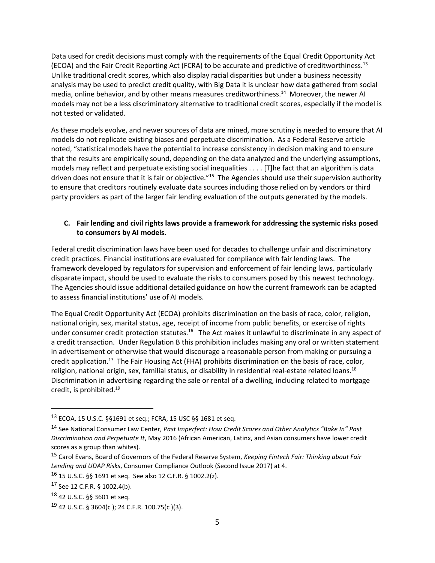Data used for credit decisions must comply with the requirements of the Equal Credit Opportunity Act (ECOA) and the Fair Credit Reporting Act (FCRA) to be accurate and predictive of creditworthiness.<sup>13</sup> Unlike traditional credit scores, which also display racial disparities but under a business necessity analysis may be used to predict credit quality, with Big Data it is unclear how data gathered from social media, online behavior, and by other means measures creditworthiness.<sup>14</sup> Moreover, the newer AI models may not be a less discriminatory alternative to traditional credit scores, especially if the model is not tested or validated.

As these models evolve, and newer sources of data are mined, more scrutiny is needed to ensure that AI models do not replicate existing biases and perpetuate discrimination. As a Federal Reserve article noted, "statistical models have the potential to increase consistency in decision making and to ensure that the results are empirically sound, depending on the data analyzed and the underlying assumptions, models may reflect and perpetuate existing social inequalities . . . . [T]he fact that an algorithm is data driven does not ensure that it is fair or objective."<sup>15</sup> The Agencies should use their supervision authority to ensure that creditors routinely evaluate data sources including those relied on by vendors or third party providers as part of the larger fair lending evaluation of the outputs generated by the models.

## **C. Fair lending and civil rights laws provide a framework for addressing the systemic risks posed to consumers by AI models.**

Federal credit discrimination laws have been used for decades to challenge unfair and discriminatory credit practices. Financial institutions are evaluated for compliance with fair lending laws. The framework developed by regulators for supervision and enforcement of fair lending laws, particularly disparate impact, should be used to evaluate the risks to consumers posed by this newest technology. The Agencies should issue additional detailed guidance on how the current framework can be adapted to assess financial institutions' use of AI models.

The Equal Credit Opportunity Act (ECOA) prohibits discrimination on the basis of race, color, religion, national origin, sex, marital status, age, receipt of income from public benefits, or exercise of rights under consumer credit protection statutes.<sup>16</sup> The Act makes it unlawful to discriminate in any aspect of a credit transaction. Under Regulation B this prohibition includes making any oral or written statement in advertisement or otherwise that would discourage a reasonable person from making or pursuing a credit application.<sup>17</sup> The Fair Housing Act (FHA) prohibits discrimination on the basis of race, color, religion, national origin, sex, familial status, or disability in residential real-estate related loans.<sup>18</sup> Discrimination in advertising regarding the sale or rental of a dwelling, including related to mortgage credit, is prohibited.<sup>19</sup>

<sup>13</sup> ECOA, 15 U.S.C. §§1691 et seq.; FCRA, 15 USC §§ 1681 et seq.

<sup>14</sup> See National Consumer Law Center, *Past Imperfect: How Credit Scores and Other Analytics "Bake In" Past Discrimination and Perpetuate It*, May 2016 (African American, Latinx, and Asian consumers have lower credit scores as a group than whites).

<sup>15</sup> Carol Evans, Board of Governors of the Federal Reserve System, *Keeping Fintech Fair: Thinking about Fair Lending and UDAP Risks*, Consumer Compliance Outlook (Second Issue 2017) at 4.

<sup>16</sup> 15 U.S.C. §§ 1691 et seq. See also 12 C.F.R. § 1002.2(z).

 $17$  See 12 C.F.R. § 1002.4(b).

<sup>18</sup> 42 U.S.C. §§ 3601 et seq.

 $19$  42 U.S.C. § 3604(c); 24 C.F.R. 100.75(c)(3).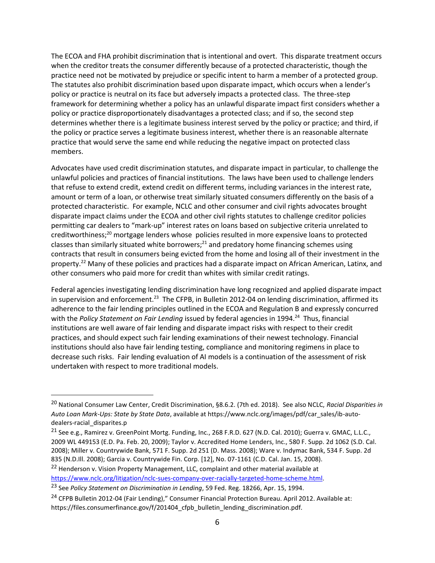The ECOA and FHA prohibit discrimination that is intentional and overt. This disparate treatment occurs when the creditor treats the consumer differently because of a protected characteristic, though the practice need not be motivated by prejudice or specific intent to harm a member of a protected group. The statutes also prohibit discrimination based upon disparate impact, which occurs when a lender's policy or practice is neutral on its face but adversely impacts a protected class. The three-step framework for determining whether a policy has an unlawful disparate impact first considers whether a policy or practice disproportionately disadvantages a protected class; and if so, the second step determines whether there is a legitimate business interest served by the policy or practice; and third, if the policy or practice serves a legitimate business interest, whether there is an reasonable alternate practice that would serve the same end while reducing the negative impact on protected class members.

Advocates have used credit discrimination statutes, and disparate impact in particular, to challenge the unlawful policies and practices of financial institutions. The laws have been used to challenge lenders that refuse to extend credit, extend credit on different terms, including variances in the interest rate, amount or term of a loan, or otherwise treat similarly situated consumers differently on the basis of a protected characteristic. For example, NCLC and other consumer and civil rights advocates brought disparate impact claims under the ECOA and other civil rights statutes to challenge creditor policies permitting car dealers to "mark-up" interest rates on loans based on subjective criteria unrelated to creditworthiness;<sup>20</sup> mortgage lenders whose policies resulted in more expensive loans to protected classes than similarly situated white borrowers;<sup>21</sup> and predatory home financing schemes using contracts that result in consumers being evicted from the home and losing all of their investment in the property.<sup>22</sup> Many of these policies and practices had a disparate impact on African American, Latinx, and other consumers who paid more for credit than whites with similar credit ratings.

Federal agencies investigating lending discrimination have long recognized and applied disparate impact in supervision and enforcement.<sup>23</sup> The CFPB, in Bulletin 2012-04 on lending discrimination, affirmed its adherence to the fair lending principles outlined in the ECOA and Regulation B and expressly concurred with the Policy Statement on Fair Lending issued by federal agencies in 1994.<sup>24</sup> Thus, financial institutions are well aware of fair lending and disparate impact risks with respect to their credit practices, and should expect such fair lending examinations of their newest technology. Financial institutions should also have fair lending testing, compliance and monitoring regimens in place to decrease such risks. Fair lending evaluation of AI models is a continuation of the assessment of risk undertaken with respect to more traditional models.

<sup>20</sup> National Consumer Law Center, Credit Discrimination, §8.6.2. (7th ed. 2018). See also NCLC, *Racial Disparities in Auto Loan Mark-Ups: State by State Data*, available at https://www.nclc.org/images/pdf/car\_sales/ib-autodealers-racial\_disparites.p

<sup>&</sup>lt;sup>21</sup> See e.g., Ramirez v. GreenPoint Mortg. Funding, Inc., 268 F.R.D. 627 (N.D. Cal. 2010); Guerra v. GMAC, L.L.C., 2009 WL 449153 (E.D. Pa. Feb. 20, 2009); Taylor v. Accredited Home Lenders, Inc., 580 F. Supp. 2d 1062 (S.D. Cal. 2008); Miller v. Countrywide Bank, 571 F. Supp. 2d 251 (D. Mass. 2008); Ware v. Indymac Bank, 534 F. Supp. 2d 835 (N.D.Ill. 2008); Garcia v. Countrywide Fin. Corp. [12], No. 07-1161 (C.D. Cal. Jan. 15, 2008).

<sup>&</sup>lt;sup>22</sup> Henderson v. Vision Property Management, LLC, complaint and other material available at [https://www.nclc.org/litigation/nclc-sues-company-over-racially-targeted-home-scheme.html.](https://www.nclc.org/litigation/nclc-sues-company-over-racially-targeted-home-scheme.html)

<sup>23</sup> See *Policy Statement on Discrimination in Lending*, 59 Fed. Reg. 18266, Apr. 15, 1994.

<sup>&</sup>lt;sup>24</sup> CFPB Bulletin 2012-04 (Fair Lending)," Consumer Financial Protection Bureau. April 2012. Available at: https://files.consumerfinance.gov/f/201404\_cfpb\_bulletin\_lending\_discrimination.pdf.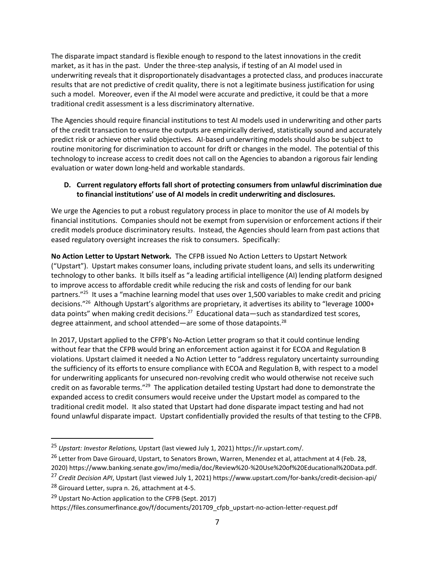The disparate impact standard is flexible enough to respond to the latest innovations in the credit market, as it has in the past. Under the three-step analysis, if testing of an AI model used in underwriting reveals that it disproportionately disadvantages a protected class, and produces inaccurate results that are not predictive of credit quality, there is not a legitimate business justification for using such a model. Moreover, even if the AI model were accurate and predictive, it could be that a more traditional credit assessment is a less discriminatory alternative.

The Agencies should require financial institutions to test AI models used in underwriting and other parts of the credit transaction to ensure the outputs are empirically derived, statistically sound and accurately predict risk or achieve other valid objectives. AI-based underwriting models should also be subject to routine monitoring for discrimination to account for drift or changes in the model. The potential of this technology to increase access to credit does not call on the Agencies to abandon a rigorous fair lending evaluation or water down long-held and workable standards.

## **D. Current regulatory efforts fall short of protecting consumers from unlawful discrimination due to financial institutions' use of AI models in credit underwriting and disclosures.**

We urge the Agencies to put a robust regulatory process in place to monitor the use of AI models by financial institutions. Companies should not be exempt from supervision or enforcement actions if their credit models produce discriminatory results. Instead, the Agencies should learn from past actions that eased regulatory oversight increases the risk to consumers. Specifically:

**No Action Letter to Upstart Network.** The CFPB issued No Action Letters to Upstart Network ("Upstart"). Upstart makes consumer loans, including private student loans, and sells its underwriting technology to other banks. It bills itself as "a leading artificial intelligence (AI) lending platform designed to improve access to affordable credit while reducing the risk and costs of lending for our bank partners."<sup>25</sup> It uses a "machine learning model that uses over 1,500 variables to make credit and pricing decisions."<sup>26</sup> Although Upstart's algorithms are proprietary, it advertises its ability to "leverage 1000+ data points" when making credit decisions.<sup>27</sup> Educational data—such as standardized test scores, degree attainment, and school attended—are some of those datapoints.<sup>28</sup>

In 2017, Upstart applied to the CFPB's No-Action Letter program so that it could continue lending without fear that the CFPB would bring an enforcement action against it for ECOA and Regulation B violations. Upstart claimed it needed a No Action Letter to "address regulatory uncertainty surrounding the sufficiency of its efforts to ensure compliance with ECOA and Regulation B, with respect to a model for underwriting applicants for unsecured non-revolving credit who would otherwise not receive such credit on as favorable terms."<sup>29</sup> The application detailed testing Upstart had done to demonstrate the expanded access to credit consumers would receive under the Upstart model as compared to the traditional credit model. It also stated that Upstart had done disparate impact testing and had not found unlawful disparate impact. Upstart confidentially provided the results of that testing to the CFPB.

<sup>25</sup> *Upstart: Investor Relations,* Upstart (last viewed July 1, 2021) https://ir.upstart.com/.

<sup>&</sup>lt;sup>26</sup> Letter from Dave Girouard, Upstart, to Senators Brown, Warren, Menendez et al, attachment at 4 (Feb. 28,

<sup>2020)</sup> https://www.banking.senate.gov/imo/media/doc/Review%20-%20Use%20of%20Educational%20Data.pdf.

<sup>27</sup> *Credit Decision API*, Upstart (last viewed July 1, 2021) https://www.upstart.com/for-banks/credit-decision-api/

<sup>&</sup>lt;sup>28</sup> Girouard Letter, supra n. 26, attachment at 4-5.

<sup>&</sup>lt;sup>29</sup> Upstart No-Action application to the CFPB (Sept. 2017)

https://files.consumerfinance.gov/f/documents/201709\_cfpb\_upstart-no-action-letter-request.pdf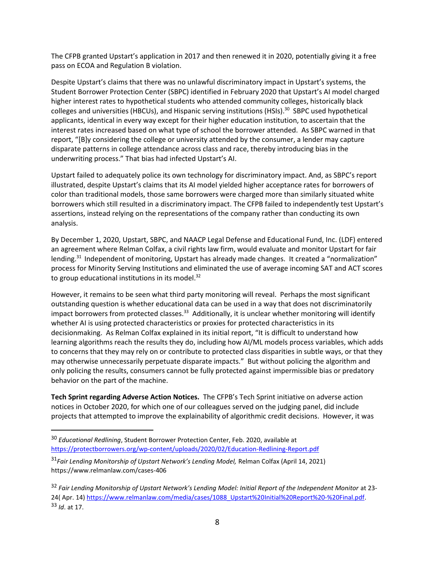The CFPB granted Upstart's application in 2017 and then renewed it in 2020, potentially giving it a free pass on ECOA and Regulation B violation.

Despite Upstart's claims that there was no unlawful discriminatory impact in Upstart's systems, the Student Borrower Protection Center (SBPC) identified in February 2020 that Upstart's AI model charged higher interest rates to hypothetical students who attended community colleges, historically black colleges and universities (HBCUs), and Hispanic serving institutions (HSIs).<sup>30</sup> SBPC used hypothetical applicants, identical in every way except for their higher education institution, to ascertain that the interest rates increased based on what type of school the borrower attended. As SBPC warned in that report, "[B]y considering the college or university attended by the consumer, a lender may capture disparate patterns in college attendance across class and race, thereby introducing bias in the underwriting process." That bias had infected Upstart's AI.

Upstart failed to adequately police its own technology for discriminatory impact. And, as SBPC's report illustrated, despite Upstart's claims that its AI model yielded higher acceptance rates for borrowers of color than traditional models, those same borrowers were charged more than similarly situated white borrowers which still resulted in a discriminatory impact. The CFPB failed to independently test Upstart's assertions, instead relying on the representations of the company rather than conducting its own analysis.

By December 1, 2020, Upstart, SBPC, and NAACP Legal Defense and Educational Fund, Inc. (LDF) entered an agreement where Relman Colfax, a civil rights law firm, would evaluate and monitor Upstart for fair lending.<sup>31</sup> Independent of monitoring, Upstart has already made changes. It created a "normalization" process for Minority Serving Institutions and eliminated the use of average incoming SAT and ACT scores to group educational institutions in its model. $32$ 

However, it remains to be seen what third party monitoring will reveal. Perhaps the most significant outstanding question is whether educational data can be used in a way that does not discriminatorily impact borrowers from protected classes.<sup>33</sup> Additionally, it is unclear whether monitoring will identify whether AI is using protected characteristics or proxies for protected characteristics in its decisionmaking. As Relman Colfax explained in its initial report, "It is difficult to understand how learning algorithms reach the results they do, including how AI/ML models process variables, which adds to concerns that they may rely on or contribute to protected class disparities in subtle ways, or that they may otherwise unnecessarily perpetuate disparate impacts." But without policing the algorithm and only policing the results, consumers cannot be fully protected against impermissible bias or predatory behavior on the part of the machine.

**Tech Sprint regarding Adverse Action Notices.** The CFPB's Tech Sprint initiative on adverse action notices in October 2020, for which one of our colleagues served on the judging panel, did include projects that attempted to improve the explainability of algorithmic credit decisions. However, it was

<sup>30</sup> *Educational Redlining*, Student Borrower Protection Center, Feb. 2020, available at <https://protectborrowers.org/wp-content/uploads/2020/02/Education-Redlining-Report.pdf>

<sup>31</sup>*Fair Lending Monitorship of Upstart Network's Lending Model,* Relman Colfax (April 14, 2021) https://www.relmanlaw.com/cases-406

<sup>32</sup> *Fair Lending Monitorship of Upstart Network's Lending Model: Initial Report of the Independent Monitor* at 23- 24( Apr. 14) [https://www.relmanlaw.com/media/cases/1088\\_Upstart%20Initial%20Report%20-%20Final.pdf.](https://www.relmanlaw.com/media/cases/1088_Upstart%20Initial%20Report%20-%20Final.pdf)  <sup>33</sup> *Id*. at 17.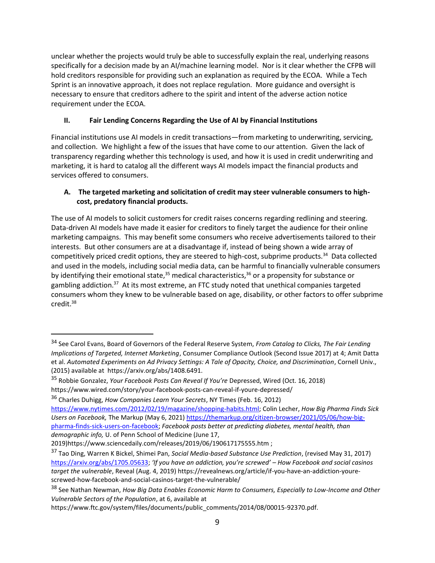unclear whether the projects would truly be able to successfully explain the real, underlying reasons specifically for a decision made by an AI/machine learning model. Nor is it clear whether the CFPB will hold creditors responsible for providing such an explanation as required by the ECOA. While a Tech Sprint is an innovative approach, it does not replace regulation. More guidance and oversight is necessary to ensure that creditors adhere to the spirit and intent of the adverse action notice requirement under the ECOA.

# **II. Fair Lending Concerns Regarding the Use of AI by Financial Institutions**

Financial institutions use AI models in credit transactions—from marketing to underwriting, servicing, and collection. We highlight a few of the issues that have come to our attention. Given the lack of transparency regarding whether this technology is used, and how it is used in credit underwriting and marketing, it is hard to catalog all the different ways AI models impact the financial products and services offered to consumers.

## **A. The targeted marketing and solicitation of credit may steer vulnerable consumers to highcost, predatory financial products.**

The use of AI models to solicit customers for credit raises concerns regarding redlining and steering. Data-driven AI models have made it easier for creditors to finely target the audience for their online marketing campaigns. This may benefit some consumers who receive advertisements tailored to their interests. But other consumers are at a disadvantage if, instead of being shown a wide array of competitively priced credit options, they are steered to high-cost, subprime products.<sup>34</sup> Data collected and used in the models, including social media data, can be harmful to financially vulnerable consumers by identifying their emotional state,  $35$  medical characteristics,  $36$  or a propensity for substance or gambling addiction.<sup>37</sup> At its most extreme, an FTC study noted that unethical companies targeted consumers whom they knew to be vulnerable based on age, disability, or other factors to offer subprime credit. $38$ 

<sup>34</sup> See Carol Evans, Board of Governors of the Federal Reserve System, *From Catalog to Clicks, The Fair Lending Implications of Targeted, Internet Marketing*, Consumer Compliance Outlook (Second Issue 2017) at 4; Amit Datta et al. *Automated Experiments on Ad Privacy Settings: A Tale of Opacity, Choice, and Discrimination*, Cornell Univ., (2015) available at https://arxiv.org/abs/1408.6491.

<sup>35</sup> Robbie Gonzalez, *Your Facebook Posts Can Reveal If You're* Depressed, Wired (Oct. 16, 2018) https://www.wired.com/story/your-facebook-posts-can-reveal-if-youre-depressed/

<sup>36</sup> Charles Duhigg, *How Companies Learn Your Secrets*, NY Times (Feb. 16, 2012)

[https://www.nytimes.com/2012/02/19/magazine/shopping-habits.html;](https://www.nytimes.com/2012/02/19/magazine/shopping-habits.html) Colin Lecher, *How Big Pharma Finds Sick Users on Facebook,* The Markup (May 6, 2021[\) https://themarkup.org/citizen-browser/2021/05/06/how-big](https://themarkup.org/citizen-browser/2021/05/06/how-big-pharma-finds-sick-users-on-facebook)[pharma-finds-sick-users-on-facebook;](https://themarkup.org/citizen-browser/2021/05/06/how-big-pharma-finds-sick-users-on-facebook) *Facebook posts better at predicting diabetes, mental health, than demographic info,* U. of Penn School of Medicine (June 17,

<sup>2019)</sup>https://www.sciencedaily.com/releases/2019/06/190617175555.htm ;

<sup>37</sup> Tao Ding, Warren K Bickel, Shimei Pan, *Social Media-based Substance Use Prediction*, (revised May 31, 2017) [https://arxiv.org/abs/1705.05633;](https://arxiv.org/abs/1705.05633) *'If you have an addiction, you're screwed' – How Facebook and social casinos target the vulnerable*, Reveal (Aug. 4, 2019) https://revealnews.org/article/if-you-have-an-addiction-yourescrewed-how-facebook-and-social-casinos-target-the-vulnerable/

<sup>38</sup> See Nathan Newman, *How Big Data Enables Economic Harm to Consumers, Especially to Low-Income and Other Vulnerable Sectors of the Population*, at 6, available at

https://www.ftc.gov/system/files/documents/public\_comments/2014/08/00015-92370.pdf.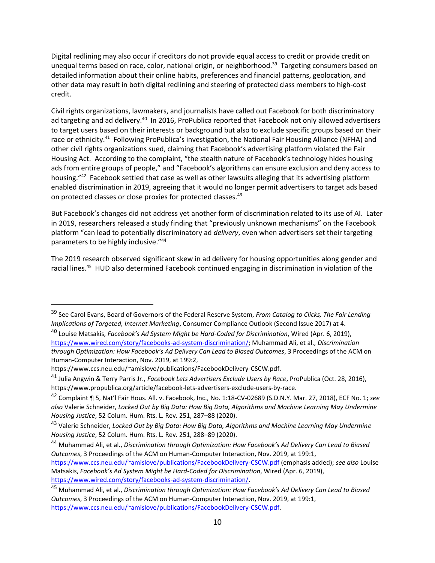Digital redlining may also occur if creditors do not provide equal access to credit or provide credit on unequal terms based on race, color, national origin, or neighborhood.<sup>39</sup> Targeting consumers based on detailed information about their online habits, preferences and financial patterns, geolocation, and other data may result in both digital redlining and steering of protected class members to high-cost credit.

Civil rights organizations, lawmakers, and journalists have called out Facebook for both discriminatory ad targeting and ad delivery.<sup>40</sup> In 2016, ProPublica reported that Facebook not only allowed advertisers to target users based on their interests or background but also to exclude specific groups based on their race or ethnicity.<sup>41</sup> Following ProPublica's investigation, the National Fair Housing Alliance (NFHA) and other civil rights organizations sued, claiming that Facebook's advertising platform violated the Fair Housing Act. According to the complaint, "the stealth nature of Facebook's technology hides housing ads from entire groups of people," and "Facebook's algorithms can ensure exclusion and deny access to housing."<sup>42</sup> Facebook settled that case as well as other lawsuits alleging that its advertising platform enabled discrimination in 2019, agreeing that it would no longer permit advertisers to target ads based on protected classes or close proxies for protected classes.<sup>43</sup>

But Facebook's changes did not address yet another form of discrimination related to its use of AI. Later in 2019, researchers released a study finding that "previously unknown mechanisms" on the Facebook platform "can lead to potentially discriminatory ad *delivery*, even when advertisers set their targeting parameters to be highly inclusive."<sup>44</sup>

The 2019 research observed significant skew in ad delivery for housing opportunities along gender and racial lines.<sup>45</sup> HUD also determined Facebook continued engaging in discrimination in violation of the

<sup>39</sup> See Carol Evans, Board of Governors of the Federal Reserve System, *From Catalog to Clicks, The Fair Lending Implications of Targeted, Internet Marketing*, Consumer Compliance Outlook (Second Issue 2017) at 4.

<sup>40</sup> Louise Matsakis, *Facebook's Ad System Might be Hard-Coded for Discrimination*, Wired (Apr. 6, 2019), [https://www.wired.com/story/facebooks-ad-system-discrimination/;](https://www.wired.com/story/facebooks-ad-system-discrimination/) Muhammad Ali, et al., *Discrimination through Optimization: How Facebook's Ad Delivery Can Lead to Biased Outcomes*, 3 Proceedings of the ACM on Human-Computer Interaction, Nov. 2019, at 199:2,

https://www.ccs.neu.edu/~amislove/publications/FacebookDelivery-CSCW.pdf.

<sup>41</sup> Julia Angwin & Terry Parris Jr., *Facebook Lets Advertisers Exclude Users by Race*, ProPublica (Oct. 28, 2016), https://www.propublica.org/article/facebook-lets-advertisers-exclude-users-by-race.

<sup>42</sup> Complaint ¶ 5, Nat'l Fair Hous. All. v. Facebook, Inc., No. 1:18-CV-02689 (S.D.N.Y. Mar. 27, 2018), ECF No. 1; *see also* Valerie Schneider, *Locked Out by Big Data: How Big Data, Algorithms and Machine Learning May Undermine Housing Justice*, 52 Colum. Hum. Rts. L. Rev. 251, 287–88 (2020).

<sup>43</sup> Valerie Schneider, *Locked Out by Big Data: How Big Data, Algorithms and Machine Learning May Undermine Housing Justice*, 52 Colum. Hum. Rts. L. Rev. 251, 288–89 (2020).

<sup>44</sup> Muhammad Ali, et al., *Discrimination through Optimization: How Facebook's Ad Delivery Can Lead to Biased Outcomes*, 3 Proceedings of the ACM on Human-Computer Interaction, Nov. 2019, at 199:1,

<https://www.ccs.neu.edu/~amislove/publications/FacebookDelivery-CSCW.pdf> (emphasis added); *see also* Louise Matsakis, *Facebook's Ad System Might be Hard-Coded for Discrimination*, Wired (Apr. 6, 2019), [https://www.wired.com/story/facebooks-ad-system-discrimination/.](https://www.wired.com/story/facebooks-ad-system-discrimination/)

<sup>45</sup> Muhammad Ali, et al., *Discrimination through Optimization: How Facebook's Ad Delivery Can Lead to Biased Outcomes*, 3 Proceedings of the ACM on Human-Computer Interaction, Nov. 2019, at 199:1, [https://www.ccs.neu.edu/~amislove/publications/FacebookDelivery-CSCW.pdf.](https://www.ccs.neu.edu/~amislove/publications/FacebookDelivery-CSCW.pdf)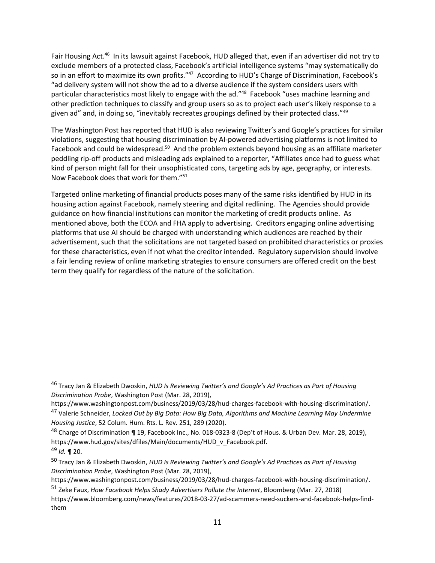Fair Housing Act.<sup>46</sup> In its lawsuit against Facebook, HUD alleged that, even if an advertiser did not try to exclude members of a protected class, Facebook's artificial intelligence systems "may systematically do so in an effort to maximize its own profits."<sup>47</sup> According to HUD's Charge of Discrimination, Facebook's "ad delivery system will not show the ad to a diverse audience if the system considers users with particular characteristics most likely to engage with the ad."<sup>48</sup> Facebook "uses machine learning and other prediction techniques to classify and group users so as to project each user's likely response to a given ad" and, in doing so, "inevitably recreates groupings defined by their protected class."<sup>49</sup>

The Washington Post has reported that HUD is also reviewing Twitter's and Google's practices for similar violations, suggesting that housing discrimination by AI-powered advertising platforms is not limited to Facebook and could be widespread.<sup>50</sup> And the problem extends beyond housing as an affiliate marketer peddling rip-off products and misleading ads explained to a reporter, "Affiliates once had to guess what kind of person might fall for their unsophisticated cons, targeting ads by age, geography, or interests. Now Facebook does that work for them."<sup>51</sup>

Targeted online marketing of financial products poses many of the same risks identified by HUD in its housing action against Facebook, namely steering and digital redlining. The Agencies should provide guidance on how financial institutions can monitor the marketing of credit products online. As mentioned above, both the ECOA and FHA apply to advertising. Creditors engaging online advertising platforms that use AI should be charged with understanding which audiences are reached by their advertisement, such that the solicitations are not targeted based on prohibited characteristics or proxies for these characteristics, even if not what the creditor intended. Regulatory supervision should involve a fair lending review of online marketing strategies to ensure consumers are offered credit on the best term they qualify for regardless of the nature of the solicitation.

<sup>46</sup> Tracy Jan & Elizabeth Dwoskin, *HUD Is Reviewing Twitter's and Google's Ad Practices as Part of Housing Discrimination Probe*, Washington Post (Mar. 28, 2019),

https://www.washingtonpost.com/business/2019/03/28/hud-charges-facebook-with-housing-discrimination/. <sup>47</sup> Valerie Schneider, *Locked Out by Big Data: How Big Data, Algorithms and Machine Learning May Undermine Housing Justice*, 52 Colum. Hum. Rts. L. Rev. 251, 289 (2020).

<sup>&</sup>lt;sup>48</sup> Charge of Discrimination ¶ 19, Facebook Inc., No. 018-0323-8 (Dep't of Hous. & Urban Dev. Mar. 28, 2019), https://www.hud.gov/sites/dfiles/Main/documents/HUD\_v\_Facebook.pdf.

<sup>49</sup> *Id.* ¶ 20.

<sup>50</sup> Tracy Jan & Elizabeth Dwoskin, *HUD Is Reviewing Twitter's and Google's Ad Practices as Part of Housing Discrimination Probe*, Washington Post (Mar. 28, 2019),

https://www.washingtonpost.com/business/2019/03/28/hud-charges-facebook-with-housing-discrimination/.

<sup>51</sup> Zeke Faux, *How Facebook Helps Shady Advertisers Pollute the Internet*, Bloomberg (Mar. 27, 2018)

https://www.bloomberg.com/news/features/2018-03-27/ad-scammers-need-suckers-and-facebook-helps-findthem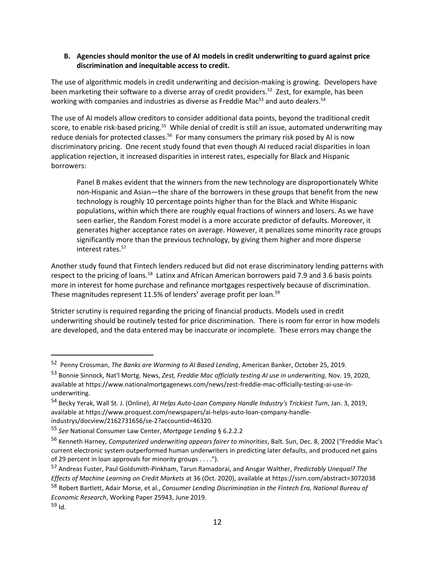### **B. Agencies should monitor the use of AI models in credit underwriting to guard against price discrimination and inequitable access to credit.**

The use of algorithmic models in credit underwriting and decision-making is growing. Developers have been marketing their software to a diverse array of credit providers.<sup>52</sup> Zest, for example, has been working with companies and industries as diverse as Freddie Mac<sup>53</sup> and auto dealers.<sup>54</sup>

The use of AI models allow creditors to consider additional data points, beyond the traditional credit score, to enable risk-based pricing.<sup>55</sup> While denial of credit is still an issue, automated underwriting may reduce denials for protected classes.<sup>56</sup> For many consumers the primary risk posed by AI is now discriminatory pricing. One recent study found that even though AI reduced racial disparities in loan application rejection, it increased disparities in interest rates, especially for Black and Hispanic borrowers:

Panel B makes evident that the winners from the new technology are disproportionately White non-Hispanic and Asian—the share of the borrowers in these groups that benefit from the new technology is roughly 10 percentage points higher than for the Black and White Hispanic populations, within which there are roughly equal fractions of winners and losers. As we have seen earlier, the Random Forest model is a more accurate predictor of defaults. Moreover, it generates higher acceptance rates on average. However, it penalizes some minority race groups significantly more than the previous technology, by giving them higher and more disperse interest rates.<sup>57</sup>

Another study found that Fintech lenders reduced but did not erase discriminatory lending patterns with respect to the pricing of loans.<sup>58</sup> Latinx and African American borrowers paid 7.9 and 3.6 basis points more in interest for home purchase and refinance mortgages respectively because of discrimination. These magnitudes represent 11.5% of lenders' average profit per loan.<sup>59</sup>

Stricter scrutiny is required regarding the pricing of financial products. Models used in credit underwriting should be routinely tested for price discrimination. There is room for error in how models are developed, and the data entered may be inaccurate or incomplete. These errors may change the

 $\overline{a}$ 

*Economic Research*, Working Paper 25943, June 2019.  $59$  Id.

<sup>52</sup> Penny Crossman, *The Banks are Warming to AI Based Lending*, American Banker, October 25, 2019.

<sup>53</sup> Bonnie Sinnock, Nat'l Mortg. News, *Zest, Freddie Mac officially testing AI use in underwriting,* Nov. 19, 2020, available at https://www.nationalmortgagenews.com/news/zest-freddie-mac-officially-testing-ai-use-inunderwriting.

<sup>54</sup> Becky Yerak, Wall St. J. (Online), *AI Helps Auto-Loan Company Handle Industry's Trickiest Turn*, Jan. 3, 2019, available at https://www.proquest.com/newspapers/ai-helps-auto-loan-company-handleindustrys/docview/2162731656/se-2?accountid=46320.

<sup>55</sup> *See* National Consumer Law Center, *Mortgage Lending* § 6.2.2.2

<sup>56</sup> Kenneth Harney, *Computerized underwriting appears fairer to minorities*, Balt. Sun, Dec. 8, 2002 ("Freddie Mac's current electronic system outperformed human underwriters in predicting later defaults, and produced net gains of 29 percent in loan approvals for minority groups . . . .").

<sup>57</sup> Andreas Fuster, Paul Goldsmith-Pinkham, Tarun Ramadorai, and Ansgar Walther, *Predictably Unequal? The Effects of Machine Learning on Credit Markets* at 36 (Oct. 2020), available at https://ssrn.com/abstract=3072038 <sup>58</sup> Robert Bartlett, Adair Morse, et al., *Consumer Lending Discrimination in the Fintech Era, National Bureau of*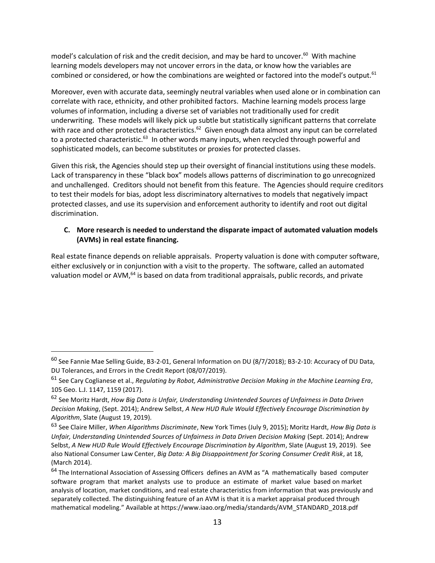model's calculation of risk and the credit decision, and may be hard to uncover.<sup>60</sup> With machine learning models developers may not uncover errors in the data, or know how the variables are combined or considered, or how the combinations are weighted or factored into the model's output.<sup>61</sup>

Moreover, even with accurate data, seemingly neutral variables when used alone or in combination can correlate with race, ethnicity, and other prohibited factors. Machine learning models process large volumes of information, including a diverse set of variables not traditionally used for credit underwriting. These models will likely pick up subtle but statistically significant patterns that correlate with race and other protected characteristics.<sup>62</sup> Given enough data almost any input can be correlated to a protected characteristic.<sup>63</sup> In other words many inputs, when recycled through powerful and sophisticated models, can become substitutes or proxies for protected classes.

Given this risk, the Agencies should step up their oversight of financial institutions using these models. Lack of transparency in these "black box" models allows patterns of discrimination to go unrecognized and unchallenged. Creditors should not benefit from this feature. The Agencies should require creditors to test their models for bias, adopt less discriminatory alternatives to models that negatively impact protected classes, and use its supervision and enforcement authority to identify and root out digital discrimination.

### **C. More research is needed to understand the disparate impact of automated valuation models (AVMs) in real estate financing.**

Real estate finance depends on reliable appraisals. Property valuation is done with computer software, either exclusively or in conjunction with a visit to the property. The software, called an automated valuation model or AVM, <sup>64</sup> is based on data from traditional appraisals, public records, and private

<sup>60</sup> See Fannie Mae Selling Guide, B3-2-01, General Information on DU (8/7/2018); B3-2-10: Accuracy of DU Data, DU Tolerances, and Errors in the Credit Report (08/07/2019).

<sup>61</sup> See Cary Coglianese et al., *Regulating by Robot, Administrative Decision Making in the Machine Learning Era*, 105 Geo. L.J. 1147, 1159 (2017).

<sup>62</sup> See Moritz Hardt, *How Big Data is Unfair, Understanding Unintended Sources of Unfairness in Data Driven Decision Making*, (Sept. 2014); Andrew Selbst, *A New HUD Rule Would Effectively Encourage Discrimination by Algorithm*, Slate (August 19, 2019).

<sup>63</sup> See Claire Miller, *When Algorithms Discriminate*, New York Times (July 9, 2015); Moritz Hardt, *How Big Data is Unfair, Understanding Unintended Sources of Unfairness in Data Driven Decision Making* (Sept. 2014); Andrew Selbst, *A New HUD Rule Would Effectively Encourage Discrimination by Algorithm*, Slate (August 19, 2019). See also National Consumer Law Center, *Big Data: A Big Disappointment for Scoring Consumer Credit Risk*, at 18, (March 2014).

<sup>&</sup>lt;sup>64</sup> The International Association of Assessing Officers defines an AVM as "A mathematically based computer software program that market analysts use to produce an estimate of market value based on market analysis of location, market conditions, and real estate characteristics from information that was previously and separately collected. The distinguishing feature of an AVM is that it is a market appraisal produced through mathematical modeling." Available at https://www.iaao.org/media/standards/AVM\_STANDARD\_2018.pdf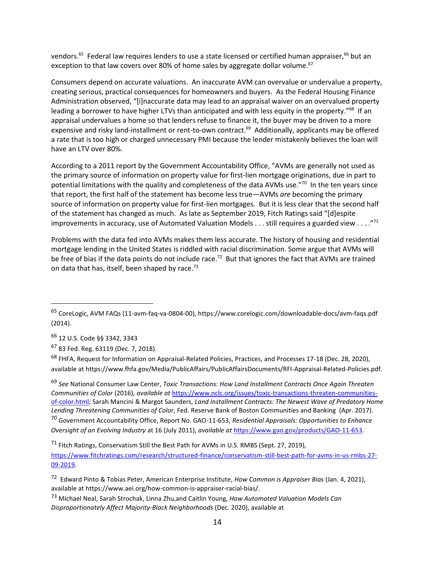vendors.<sup>65</sup> Federal law requires lenders to use a state licensed or certified human appraiser,<sup>66</sup> but an exception to that law covers over 80% of home sales by aggregate dollar volume.<sup>67</sup>

Consumers depend on accurate valuations. An inaccurate AVM can overvalue or undervalue a property, creating serious, practical consequences for homeowners and buyers. As the Federal Housing Finance Administration observed, "[i]naccurate data may lead to an appraisal waiver on an overvalued property leading a borrower to have higher LTVs than anticipated and with less equity in the property."<sup>68</sup> If an appraisal undervalues a home so that lenders refuse to finance it, the buyer may be driven to a more expensive and risky land-installment or rent-to-own contract.<sup>69</sup> Additionally, applicants may be offered a rate that is too high or charged unnecessary PMI because the lender mistakenly believes the loan will have an LTV over 80%.

According to a 2011 report by the Government Accountability Office, "AVMs are generally not used as the primary source of information on property value for first-lien mortgage originations, due in part to potential limitations with the quality and completeness of the data AVMs use."<sup>70</sup> In the ten years since that report, the first half of the statement has become less true—AVMs *are* becoming the primary source of information on property value for first-lien mortgages. But it is less clear that the second half of the statement has changed as much. As late as September 2019, Fitch Ratings said "[d]espite improvements in accuracy, use of Automated Valuation Models . . . still requires a guarded view . . . . "71

Problems with the data fed into AVMs makes them less accurate. The history of housing and residential mortgage lending in the United States is riddled with racial discrimination. Some argue that AVMs will be free of bias if the data points do not include race.<sup>72</sup> But that ignores the fact that AVMs are trained on data that has, itself, been shaped by race. $73$ 

<sup>66</sup> 12 U.S. Code §§ 3342, 3343

 $\overline{a}$ 

<sup>67</sup> 83 Fed. Reg. 63119 (Dec. 7, 2018).

<sup>68</sup> FHFA, Request for Information on Appraisal-Related Policies, Practices, and Processes 17-18 (Dec. 28, 2020), available at https://www.fhfa.gov/Media/PublicAffairs/PublicAffairsDocuments/RFI-Appraisal-Related-Policies.pdf.

<sup>69</sup> *See* National Consumer Law Center, *Toxic Transactions: How Land Installment Contracts Once Again Threaten Communities of Color* (2016), *available at* [https://www.nclc.org/issues/toxic-transactions-threaten-communities](https://www.nclc.org/issues/toxic-transactions-threaten-communities-of-color.html)[of-color.html;](https://www.nclc.org/issues/toxic-transactions-threaten-communities-of-color.html) Sarah Mancini & Margot Saunders, *Land Installment Contracts: The Newest Wave of Predatory Home Lending Threatening Communities of Color*, Fed. Reserve Bank of Boston Communities and Banking (Apr. 2017). <sup>70</sup> Government Accountability Office, Report No. GAO-11-653, *Residential Appraisals: Opportunities to Enhance Oversight of an Evolving Industry* at 16 (July 2011), *available at* [https://www.gao.gov/products/GAO-11-653.](https://www.gao.gov/products/GAO-11-653)

<sup>71</sup> Fitch Ratings, Conservatism Still the Best Path for AVMs in U.S. RMBS (Sept. 27, 2019),

[https://www.fitchratings.com/research/structured-finance/conservatism-still-best-path-for-avms-in-us-rmbs-27-](https://www.fitchratings.com/research/structured-finance/conservatism-still-best-path-for-avms-in-us-rmbs-27-09-2019) [09-2019.](https://www.fitchratings.com/research/structured-finance/conservatism-still-best-path-for-avms-in-us-rmbs-27-09-2019)

<sup>65</sup> CoreLogic, AVM FAQs (11-avm-faq-va-0804-00), https://www.corelogic.com/downloadable-docs/avm-faqs.pdf (2014).

<sup>72</sup> Edward Pinto & Tobias Peter, American Enterprise Institute, *How Common is Appraiser Bias* (Jan. 4, 2021), available at https://www.aei.org/how-common-is-appraiser-racial-bias/.

<sup>73</sup> Michael Neal, Sarah Strochak, Linna Zhu,and Caitlin Young, *How Automated Valuation Models Can Disproportionately Affect Majority-Black Neighborhoods* (Dec. 2020), available at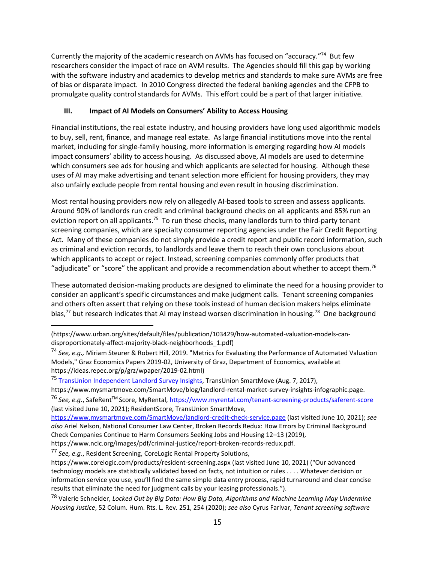Currently the majority of the academic research on AVMs has focused on "accuracy."<sup>74</sup> But few researchers consider the impact of race on AVM results. The Agencies should fill this gap by working with the software industry and academics to develop metrics and standards to make sure AVMs are free of bias or disparate impact. In 2010 Congress directed the federal banking agencies and the CFPB to promulgate quality control standards for AVMs. This effort could be a part of that larger initiative.

## **III. Impact of AI Models on Consumers' Ability to Access Housing**

Financial institutions, the real estate industry, and housing providers have long used algorithmic models to buy, sell, rent, finance, and manage real estate. As large financial institutions move into the rental market, including for single-family housing, more information is emerging regarding how AI models impact consumers' ability to access housing. As discussed above, AI models are used to determine which consumers see ads for housing and which applicants are selected for housing. Although these uses of AI may make advertising and tenant selection more efficient for housing providers, they may also unfairly exclude people from rental housing and even result in housing discrimination.

Most rental housing providers now rely on allegedly AI-based tools to screen and assess applicants. Around 90% of landlords run credit and criminal background checks on all applicants and 85% run an eviction report on all applicants.<sup>75</sup> To run these checks, many landlords turn to third-party tenant screening companies, which are specialty consumer reporting agencies under the Fair Credit Reporting Act. Many of these companies do not simply provide a credit report and public record information, such as criminal and eviction records, to landlords and leave them to reach their own conclusions about which applicants to accept or reject. Instead, screening companies commonly offer products that "adjudicate" or "score" the applicant and provide a recommendation about whether to accept them.<sup>76</sup>

These automated decision-making products are designed to eliminate the need for a housing provider to consider an applicant's specific circumstances and make judgment calls. Tenant screening companies and others often assert that relying on these tools instead of human decision makers helps eliminate bias,<sup>77</sup> but research indicates that AI may instead worsen discrimination in housing.<sup>78</sup> One background

(last visited June 10, 2021); ResidentScore, TransUnion SmartMove,

 $\overline{a}$ (https://www.urban.org/sites/default/files/publication/103429/how-automated-valuation-models-candisproportionately-affect-majority-black-neighborhoods\_1.pdf)

<sup>74</sup> *See, e.g.,* Miriam Steurer & Robert Hill, 2019. "Metrics for Evaluating the Performance of Automated Valuation Models," Graz Economics Papers 2019-02, University of Graz, Department of Economics, available at https://ideas.repec.org/p/grz/wpaper/2019-02.html)

<sup>75</sup> TransUnion Independent Landlord Survey Insights, TransUnion SmartMove (Aug. 7, 2017),

https://www.mysmartmove.com/SmartMove/blog/landlord-rental-market-survey-insights-infographic.page. <sup>76</sup> *See, e.g.*, SafeRentTM Score, MyRental,<https://www.myrental.com/tenant-screening-products/saferent-score>

<https://www.mysmartmove.com/SmartMove/landlord-credit-check-service.page> (last visited June 10, 2021); *see also* Ariel Nelson, National Consumer Law Center, Broken Records Redux: How Errors by Criminal Background Check Companies Continue to Harm Consumers Seeking Jobs and Housing 12–13 (2019), https://www.nclc.org/images/pdf/criminal-justice/report-broken-records-redux.pdf.

<sup>77</sup> *See, e.g.*, Resident Screening, CoreLogic Rental Property Solutions,

https://www.corelogic.com/products/resident-screening.aspx (last visited June 10, 2021) ("Our advanced technology models are statistically validated based on facts, not intuition or rules . . . . Whatever decision or information service you use, you'll find the same simple data entry process, rapid turnaround and clear concise results that eliminate the need for judgment calls by your leasing professionals.").

<sup>78</sup> Valerie Schneider, *Locked Out by Big Data: How Big Data, Algorithms and Machine Learning May Undermine Housing Justice*, 52 Colum. Hum. Rts. L. Rev. 251, 254 (2020); *see also* Cyrus Farivar, *Tenant screening software*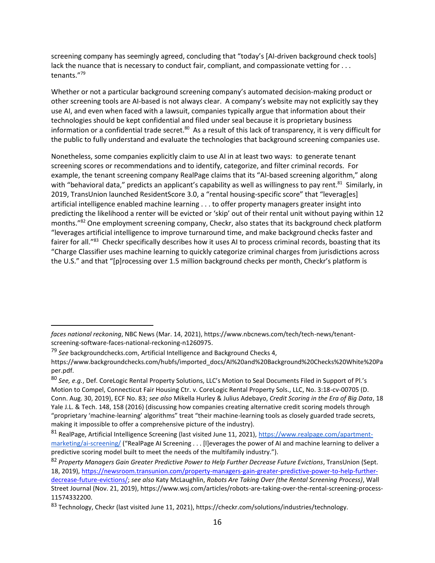screening company has seemingly agreed, concluding that "today's [AI-driven background check tools] lack the nuance that is necessary to conduct fair, compliant, and compassionate vetting for . . . tenants."<sup>79</sup>

Whether or not a particular background screening company's automated decision-making product or other screening tools are AI-based is not always clear. A company's website may not explicitly say they use AI, and even when faced with a lawsuit, companies typically argue that information about their technologies should be kept confidential and filed under seal because it is proprietary business information or a confidential trade secret.<sup>80</sup> As a result of this lack of transparency, it is very difficult for the public to fully understand and evaluate the technologies that background screening companies use.

Nonetheless, some companies explicitly claim to use AI in at least two ways: to generate tenant screening scores or recommendations and to identify, categorize, and filter criminal records. For example, the tenant screening company RealPage claims that its "AI-based screening algorithm," along with "behavioral data," predicts an applicant's capability as well as willingness to pay rent.<sup>81</sup> Similarly, in 2019, TransUnion launched ResidentScore 3.0, a "rental housing-specific score" that "leverag[es] artificial intelligence enabled machine learning . . . to offer property managers greater insight into predicting the likelihood a renter will be evicted or 'skip' out of their rental unit without paying within 12 months."<sup>82</sup> One employment screening company, Checkr, also states that its background check platform "leverages artificial intelligence to improve turnaround time, and make background checks faster and fairer for all."<sup>83</sup> Checkr specifically describes how it uses AI to process criminal records, boasting that its "Charge Classifier uses machine learning to quickly categorize criminal charges from jurisdictions across the U.S." and that "[p]rocessing over 1.5 million background checks per month, Checkr's platform is

*faces national reckoning*, NBC News (Mar. 14, 2021), https://www.nbcnews.com/tech/tech-news/tenantscreening-software-faces-national-reckoning-n1260975.

<sup>79</sup> *See* backgroundchecks.com, Artificial Intelligence and Background Checks 4,

https://www.backgroundchecks.com/hubfs/imported\_docs/AI%20and%20Background%20Checks%20White%20Pa per.pdf.

<sup>80</sup> *See, e.g.*, Def. CoreLogic Rental Property Solutions, LLC's Motion to Seal Documents Filed in Support of Pl.'s Motion to Compel, Connecticut Fair Housing Ctr. v. CoreLogic Rental Property Sols., LLC, No. 3:18-cv-00705 (D. Conn. Aug. 30, 2019), ECF No. 83; *see also* Mikella Hurley & Julius Adebayo, *Credit Scoring in the Era of Big Data*, 18 Yale J.L. & Tech. 148, 158 (2016) (discussing how companies creating alternative credit scoring models through "proprietary 'machine-learning' algorithms" treat "their machine-learning tools as closely guarded trade secrets, making it impossible to offer a comprehensive picture of the industry).

<sup>81</sup> RealPage, Artificial Intelligence Screening (last visited June 11, 2021), [https://www.realpage.com/apartment](https://www.realpage.com/apartment-marketing/ai-screening/)[marketing/ai-screening/](https://www.realpage.com/apartment-marketing/ai-screening/) ("RealPage AI Screening . . . [I]everages the power of AI and machine learning to deliver a predictive scoring model built to meet the needs of the multifamily industry.").

<sup>82</sup> *Property Managers Gain Greater Predictive Power to Help Further Decrease Future Evictions*, TransUnion (Sept. 18, 2019), [https://newsroom.transunion.com/property-managers-gain-greater-predictive-power-to-help-further](https://newsroom.transunion.com/property-managers-gain-greater-predictive-power-to-help-further-decrease-future-evictions/)[decrease-future-evictions/;](https://newsroom.transunion.com/property-managers-gain-greater-predictive-power-to-help-further-decrease-future-evictions/) *see also* Katy McLaughlin, *Robots Are Taking Over (the Rental Screening Process)*, Wall Street Journal (Nov. 21, 2019), https://www.wsj.com/articles/robots-are-taking-over-the-rental-screening-process-11574332200.

<sup>83</sup> Technology, Checkr (last visited June 11, 2021), https://checkr.com/solutions/industries/technology.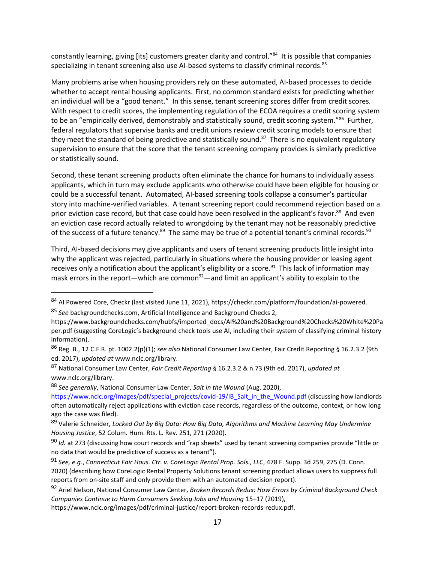constantly learning, giving [its] customers greater clarity and control."<sup>84</sup> It is possible that companies specializing in tenant screening also use AI-based systems to classify criminal records.<sup>85</sup>

Many problems arise when housing providers rely on these automated, AI-based processes to decide whether to accept rental housing applicants. First, no common standard exists for predicting whether an individual will be a "good tenant." In this sense, tenant screening scores differ from credit scores. With respect to credit scores, the implementing regulation of the ECOA requires a credit scoring system to be an "empirically derived, demonstrably and statistically sound, credit scoring system."<sup>86</sup> Further, federal regulators that supervise banks and credit unions review credit scoring models to ensure that they meet the standard of being predictive and statistically sound.<sup>87</sup> There is no equivalent regulatory supervision to ensure that the score that the tenant screening company provides is similarly predictive or statistically sound.

Second, these tenant screening products often eliminate the chance for humans to individually assess applicants, which in turn may exclude applicants who otherwise could have been eligible for housing or could be a successful tenant. Automated, AI-based screening tools collapse a consumer's particular story into machine-verified variables. A tenant screening report could recommend rejection based on a prior eviction case record, but that case could have been resolved in the applicant's favor.<sup>88</sup> And even an eviction case record actually related to wrongdoing by the tenant may not be reasonably predictive of the success of a future tenancy.<sup>89</sup> The same may be true of a potential tenant's criminal records.<sup>90</sup>

Third, AI-based decisions may give applicants and users of tenant screening products little insight into why the applicant was rejected, particularly in situations where the housing provider or leasing agent receives only a notification about the applicant's eligibility or a score.<sup>91</sup> This lack of information may mask errors in the report—which are common $92$ —and limit an applicant's ability to explain to the

<sup>85</sup> *See* backgroundchecks.com, Artificial Intelligence and Background Checks 2,

 $\overline{a}$ 

<sup>88</sup> *See generally*, National Consumer Law Center, *Salt in the Wound* (Aug. 2020),

<sup>84</sup> AI Powered Core, Checkr (last visited June 11, 2021), https://checkr.com/platform/foundation/ai-powered.

https://www.backgroundchecks.com/hubfs/imported\_docs/AI%20and%20Background%20Checks%20White%20Pa per.pdf (suggesting CoreLogic's background check tools use AI, including their system of classifying criminal history information).

<sup>86</sup> Reg. B., 12 C.F.R. pt. 1002.2(p)(1); *see also* National Consumer Law Center, Fair Credit Reporting § 16.2.3.2 (9th ed. 2017), *updated at* www.nclc.org/library.

<sup>87</sup> National Consumer Law Center, *Fair Credit Reporting* § 16.2.3.2 & n.73 (9th ed. 2017), *updated at*  www.nclc.org/library.

[https://www.nclc.org/images/pdf/special\\_projects/covid-19/IB\\_Salt\\_in\\_the\\_Wound.pdf](https://www.nclc.org/images/pdf/special_projects/covid-19/IB_Salt_in_the_Wound.pdf) (discussing how landlords often automatically reject applications with eviction case records, regardless of the outcome, context, or how long ago the case was filed).

<sup>89</sup> Valerie Schneider, *Locked Out by Big Data: How Big Data, Algorithms and Machine Learning May Undermine Housing Justice*, 52 Colum. Hum. Rts. L. Rev. 251, 271 (2020).

<sup>90</sup> *Id.* at 273 (discussing how court records and "rap sheets" used by tenant screening companies provide "little or no data that would be predictive of success as a tenant").

<sup>91</sup> *See, e.g.*, *Connecticut Fair Hous. Ctr. v. CoreLogic Rental Prop. Sols., LLC*, 478 F. Supp. 3d 259, 275 (D. Conn. 2020) (describing how CoreLogic Rental Property Solutions tenant screening product allows users to suppress full reports from on-site staff and only provide them with an automated decision report).

<sup>92</sup> Ariel Nelson, National Consumer Law Center, *Broken Records Redux: How Errors by Criminal Background Check Companies Continue to Harm Consumers Seeking Jobs and Housing* 15–17 (2019),

https://www.nclc.org/images/pdf/criminal-justice/report-broken-records-redux.pdf.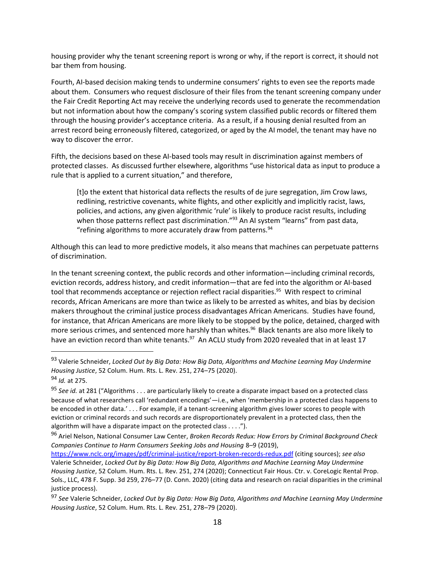housing provider why the tenant screening report is wrong or why, if the report is correct, it should not bar them from housing.

Fourth, AI-based decision making tends to undermine consumers' rights to even see the reports made about them. Consumers who request disclosure of their files from the tenant screening company under the Fair Credit Reporting Act may receive the underlying records used to generate the recommendation but not information about how the company's scoring system classified public records or filtered them through the housing provider's acceptance criteria. As a result, if a housing denial resulted from an arrest record being erroneously filtered, categorized, or aged by the AI model, the tenant may have no way to discover the error.

Fifth, the decisions based on these AI-based tools may result in discrimination against members of protected classes. As discussed further elsewhere, algorithms "use historical data as input to produce a rule that is applied to a current situation," and therefore,

[t]o the extent that historical data reflects the results of de jure segregation, Jim Crow laws, redlining, restrictive covenants, white flights, and other explicitly and implicitly racist, laws, policies, and actions, any given algorithmic 'rule' is likely to produce racist results, including when those patterns reflect past discrimination."<sup>93</sup> An AI system "learns" from past data, "refining algorithms to more accurately draw from patterns. $94$ 

Although this can lead to more predictive models, it also means that machines can perpetuate patterns of discrimination.

In the tenant screening context, the public records and other information—including criminal records, eviction records, address history, and credit information—that are fed into the algorithm or AI-based tool that recommends acceptance or rejection reflect racial disparities.<sup>95</sup> With respect to criminal records, African Americans are more than twice as likely to be arrested as whites, and bias by decision makers throughout the criminal justice process disadvantages African Americans. Studies have found, for instance, that African Americans are more likely to be stopped by the police, detained, charged with more serious crimes, and sentenced more harshly than whites.<sup>96</sup> Black tenants are also more likely to have an eviction record than white tenants.<sup>97</sup> An ACLU study from 2020 revealed that in at least 17

<sup>93</sup> Valerie Schneider, *Locked Out by Big Data: How Big Data, Algorithms and Machine Learning May Undermine Housing Justice*, 52 Colum. Hum. Rts. L. Rev. 251, 274–75 (2020).

<sup>94</sup> *Id.* at 275.

<sup>95</sup> *See id.* at 281 ("Algorithms . . . are particularly likely to create a disparate impact based on a protected class because of what researchers call 'redundant encodings'—i.e., when 'membership in a protected class happens to be encoded in other data.' . . . For example, if a tenant-screening algorithm gives lower scores to people with eviction or criminal records and such records are disproportionately prevalent in a protected class, then the algorithm will have a disparate impact on the protected class . . . .").

<sup>96</sup> Ariel Nelson, National Consumer Law Center, *Broken Records Redux: How Errors by Criminal Background Check Companies Continue to Harm Consumers Seeking Jobs and Housing* 8–9 (2019),

<https://www.nclc.org/images/pdf/criminal-justice/report-broken-records-redux.pdf> (citing sources); *see also*  Valerie Schneider, *Locked Out by Big Data: How Big Data, Algorithms and Machine Learning May Undermine Housing Justice*, 52 Colum. Hum. Rts. L. Rev. 251, 274 (2020); Connecticut Fair Hous. Ctr. v. CoreLogic Rental Prop. Sols., LLC, 478 F. Supp. 3d 259, 276–77 (D. Conn. 2020) (citing data and research on racial disparities in the criminal justice process).

<sup>97</sup> *See* Valerie Schneider, *Locked Out by Big Data: How Big Data, Algorithms and Machine Learning May Undermine Housing Justice*, 52 Colum. Hum. Rts. L. Rev. 251, 278–79 (2020).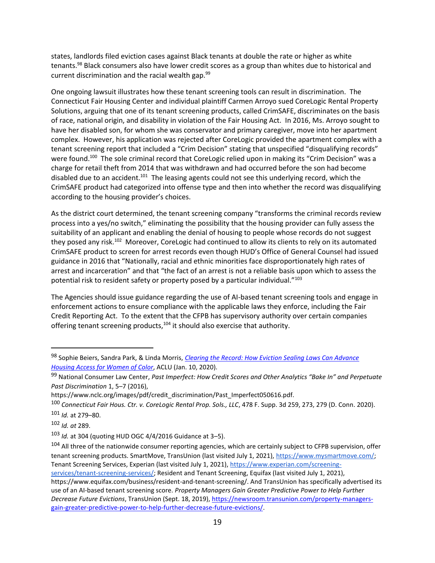states, landlords filed eviction cases against Black tenants at double the rate or higher as white tenants.<sup>98</sup> Black consumers also have lower credit scores as a group than whites due to historical and current discrimination and the racial wealth gap. $99$ 

One ongoing lawsuit illustrates how these tenant screening tools can result in discrimination. The Connecticut Fair Housing Center and individual plaintiff Carmen Arroyo sued CoreLogic Rental Property Solutions, arguing that one of its tenant screening products, called CrimSAFE, discriminates on the basis of race, national origin, and disability in violation of the Fair Housing Act. In 2016, Ms. Arroyo sought to have her disabled son, for whom she was conservator and primary caregiver, move into her apartment complex. However, his application was rejected after CoreLogic provided the apartment complex with a tenant screening report that included a "Crim Decision" stating that unspecified "disqualifying records" were found.<sup>100</sup> The sole criminal record that CoreLogic relied upon in making its "Crim Decision" was a charge for retail theft from 2014 that was withdrawn and had occurred before the son had become disabled due to an accident.<sup>101</sup> The leasing agents could not see this underlying record, which the CrimSAFE product had categorized into offense type and then into whether the record was disqualifying according to the housing provider's choices.

As the district court determined, the tenant screening company "transforms the criminal records review process into a yes/no switch," eliminating the possibility that the housing provider can fully assess the suitability of an applicant and enabling the denial of housing to people whose records do not suggest they posed any risk.<sup>102</sup> Moreover, CoreLogic had continued to allow its clients to rely on its automated CrimSAFE product to screen for arrest records even though HUD's Office of General Counsel had issued guidance in 2016 that "Nationally, racial and ethnic minorities face disproportionately high rates of arrest and incarceration" and that "the fact of an arrest is not a reliable basis upon which to assess the potential risk to resident safety or property posed by a particular individual."<sup>103</sup>

The Agencies should issue guidance regarding the use of AI-based tenant screening tools and engage in enforcement actions to ensure compliance with the applicable laws they enforce, including the Fair Credit Reporting Act. To the extent that the CFPB has supervisory authority over certain companies offering tenant screening products,<sup>104</sup> it should also exercise that authority.

<sup>98</sup> Sophie Beiers, Sandra Park, & Linda Morris, *[Clearing the Record: How Eviction Sealing Laws Can Advance](https://www.aclu.org/news/racial-justice/clearing-the-record-how-eviction-sealing-laws-can-advance-housing-access-for-women-of-color/)  [Housing Access for Women of Color](https://www.aclu.org/news/racial-justice/clearing-the-record-how-eviction-sealing-laws-can-advance-housing-access-for-women-of-color/)*, ACLU (Jan. 10, 2020).

<sup>99</sup> National Consumer Law Center, *Past Imperfect: How Credit Scores and Other Analytics "Bake In" and Perpetuate Past Discrimination* 1, 5–7 (2016),

https://www.nclc.org/images/pdf/credit\_discrimination/Past\_Imperfect050616.pdf.

<sup>100</sup> *Connecticut Fair Hous. Ctr. v. CoreLogic Rental Prop. Sols., LLC*, 478 F. Supp. 3d 259, 273, 279 (D. Conn. 2020). <sup>101</sup> *Id.* at 279–80.

<sup>102</sup> *Id. at* 289.

<sup>103</sup> *Id.* at 304 (quoting HUD OGC 4/4/2016 Guidance at 3–5).

<sup>&</sup>lt;sup>104</sup> All three of the nationwide consumer reporting agencies, which are certainly subject to CFPB supervision, offer tenant screening products. SmartMove, TransUnion (last visited July 1, 2021)[, https://www.mysmartmove.com/;](https://www.mysmartmove.com/) Tenant Screening Services, Experian (last visited July 1, 2021), [https://www.experian.com/screening-](https://www.experian.com/screening-services/tenant-screening-services/)

[services/tenant-screening-services/;](https://www.experian.com/screening-services/tenant-screening-services/) Resident and Tenant Screening, Equifax (last visited July 1, 2021),

https://www.equifax.com/business/resident-and-tenant-screening/. And TransUnion has specifically advertised its use of an AI-based tenant screening score. *Property Managers Gain Greater Predictive Power to Help Further Decrease Future Evictions*, TransUnion (Sept. 18, 2019), [https://newsroom.transunion.com/property-managers](https://newsroom.transunion.com/property-managers-gain-greater-predictive-power-to-help-further-decrease-future-evictions/)[gain-greater-predictive-power-to-help-further-decrease-future-evictions/.](https://newsroom.transunion.com/property-managers-gain-greater-predictive-power-to-help-further-decrease-future-evictions/)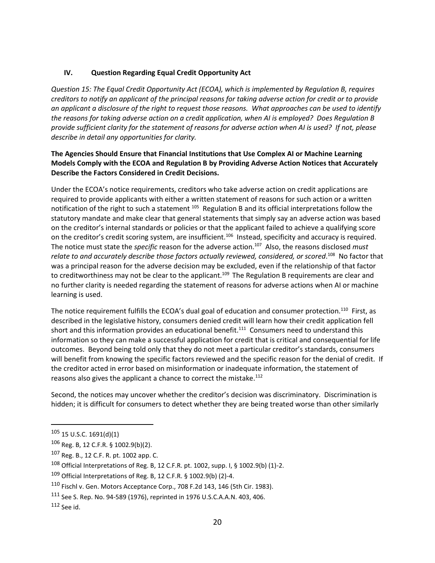## **IV. Question Regarding Equal Credit Opportunity Act**

*Question 15: The Equal Credit Opportunity Act (ECOA), which is implemented by Regulation B, requires creditors to notify an applicant of the principal reasons for taking adverse action for credit or to provide an applicant a disclosure of the right to request those reasons. What approaches can be used to identify the reasons for taking adverse action on a credit application, when AI is employed? Does Regulation B provide sufficient clarity for the statement of reasons for adverse action when AI is used? If not, please describe in detail any opportunities for clarity.*

### **The Agencies Should Ensure that Financial Institutions that Use Complex AI or Machine Learning Models Comply with the ECOA and Regulation B by Providing Adverse Action Notices that Accurately Describe the Factors Considered in Credit Decisions.**

Under the ECOA's notice requirements, creditors who take adverse action on credit applications are required to provide applicants with either a written statement of reasons for such action or a written notification of the right to such a statement  $^{105}$  Regulation B and its official interpretations follow the statutory mandate and make clear that general statements that simply say an adverse action was based on the creditor's internal standards or policies or that the applicant failed to achieve a qualifying score on the creditor's credit scoring system, are insufficient.<sup>106</sup> Instead, specificity and accuracy is required. The notice must state the *specific* reason for the adverse action.<sup>107</sup> Also, the reasons disclosed *must relate to and accurately describe those factors actually reviewed, considered, or scored*. 108 No factor that was a principal reason for the adverse decision may be excluded, even if the relationship of that factor to creditworthiness may not be clear to the applicant.<sup>109</sup> The Regulation B requirements are clear and no further clarity is needed regarding the statement of reasons for adverse actions when AI or machine learning is used.

The notice requirement fulfills the ECOA's dual goal of education and consumer protection.<sup>110</sup> First, as described in the legislative history, consumers denied credit will learn how their credit application fell short and this information provides an educational benefit.<sup>111</sup> Consumers need to understand this information so they can make a successful application for credit that is critical and consequential for life outcomes. Beyond being told only that they do not meet a particular creditor's standards, consumers will benefit from knowing the specific factors reviewed and the specific reason for the denial of credit. If the creditor acted in error based on misinformation or inadequate information, the statement of reasons also gives the applicant a chance to correct the mistake.<sup>112</sup>

Second, the notices may uncover whether the creditor's decision was discriminatory. Discrimination is hidden; it is difficult for consumers to detect whether they are being treated worse than other similarly

 $105$  15 U.S.C. 1691(d)(1)

<sup>106</sup> Reg. B, 12 C.F.R. § 1002.9(b)(2).

<sup>107</sup> Reg. B., 12 C.F. R. pt. 1002 app. C.

<sup>108</sup> Official Interpretations of Reg. B, 12 C.F.R. pt. 1002, supp. I, § 1002.9(b) (1)-2.

<sup>109</sup> Official Interpretations of Reg. B, 12 C.F.R. § 1002.9(b) (2)-4.

<sup>110</sup> Fischl v. Gen. Motors Acceptance Corp., 708 F.2d 143, 146 (5th Cir. 1983).

<sup>111</sup> See S. Rep. No. 94-589 (1976), reprinted in 1976 U.S.C.A.A.N. 403, 406.

 $112$  See id.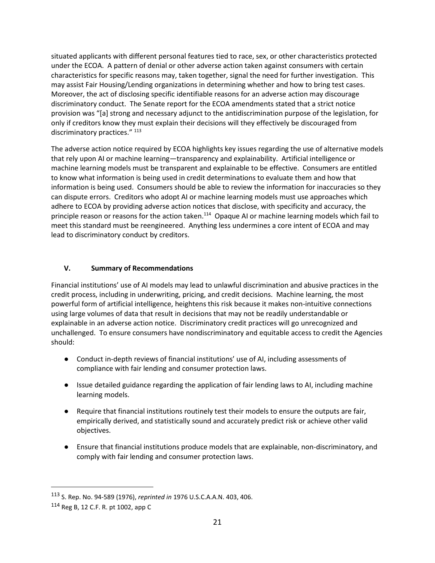situated applicants with different personal features tied to race, sex, or other characteristics protected under the ECOA. A pattern of denial or other adverse action taken against consumers with certain characteristics for specific reasons may, taken together, signal the need for further investigation. This may assist Fair Housing/Lending organizations in determining whether and how to bring test cases. Moreover, the act of disclosing specific identifiable reasons for an adverse action may discourage discriminatory conduct. The Senate report for the ECOA amendments stated that a strict notice provision was "[a] strong and necessary adjunct to the antidiscrimination purpose of the legislation, for only if creditors know they must explain their decisions will they effectively be discouraged from discriminatory practices." <sup>113</sup>

The adverse action notice required by ECOA highlights key issues regarding the use of alternative models that rely upon AI or machine learning—transparency and explainability. Artificial intelligence or machine learning models must be transparent and explainable to be effective. Consumers are entitled to know what information is being used in credit determinations to evaluate them and how that information is being used. Consumers should be able to review the information for inaccuracies so they can dispute errors. Creditors who adopt AI or machine learning models must use approaches which adhere to ECOA by providing adverse action notices that disclose, with specificity and accuracy, the principle reason or reasons for the action taken.<sup>114</sup> Opaque AI or machine learning models which fail to meet this standard must be reengineered. Anything less undermines a core intent of ECOA and may lead to discriminatory conduct by creditors.

## **V. Summary of Recommendations**

Financial institutions' use of AI models may lead to unlawful discrimination and abusive practices in the credit process, including in underwriting, pricing, and credit decisions. Machine learning, the most powerful form of artificial intelligence, heightens this risk because it makes non-intuitive connections using large volumes of data that result in decisions that may not be readily understandable or explainable in an adverse action notice. Discriminatory credit practices will go unrecognized and unchallenged. To ensure consumers have nondiscriminatory and equitable access to credit the Agencies should:

- Conduct in-depth reviews of financial institutions' use of AI, including assessments of compliance with fair lending and consumer protection laws.
- Issue detailed guidance regarding the application of fair lending laws to AI, including machine learning models.
- Require that financial institutions routinely test their models to ensure the outputs are fair, empirically derived, and statistically sound and accurately predict risk or achieve other valid objectives.
- Ensure that financial institutions produce models that are explainable, non-discriminatory, and comply with fair lending and consumer protection laws.

<sup>113</sup> S. Rep. No. 94-589 (1976), *reprinted in* 1976 U.S.C.A.A.N. 403, 406.

 $114$  Reg B, 12 C.F. R. pt 1002, app C